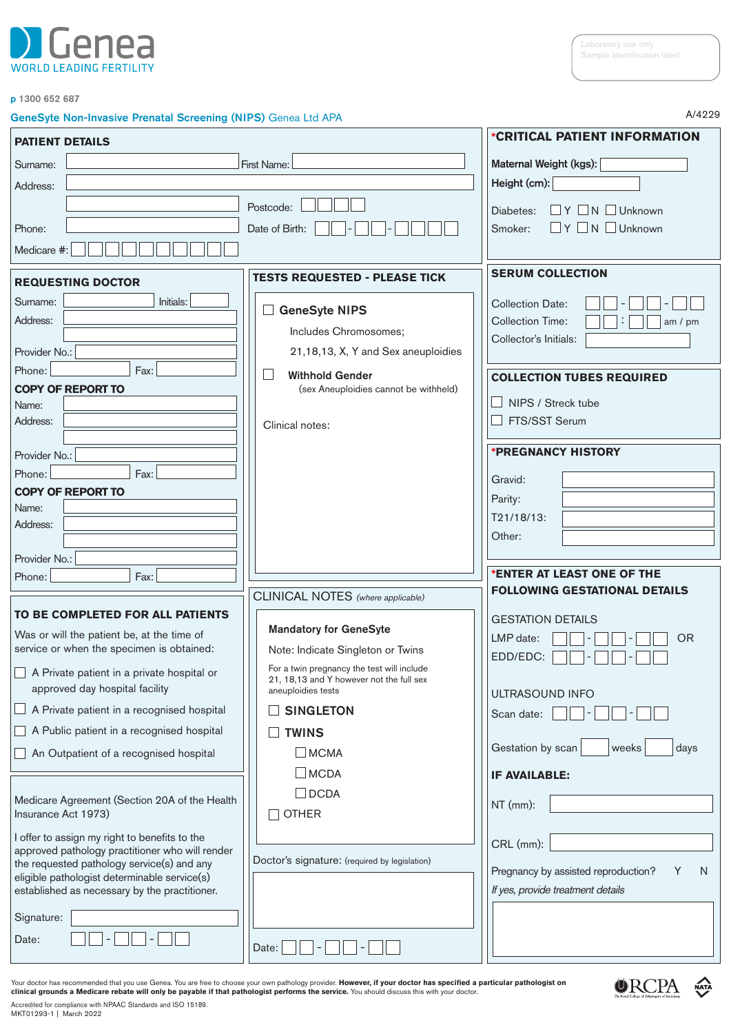

A/4229

### p 1300 652 687

### GeneSyte Non-Invasive Prenatal Screening (NIPS) Genea Ltd APA

| <b>PATIENT DETAILS</b>                                                                           |                                                                | *CRITICAL PATIENT INFORMATION                                                 |
|--------------------------------------------------------------------------------------------------|----------------------------------------------------------------|-------------------------------------------------------------------------------|
| Surname:                                                                                         | First Name:                                                    |                                                                               |
| Address:                                                                                         |                                                                | Maternal Weight (kgs):<br>Height (cm):                                        |
|                                                                                                  | Postcode:                                                      |                                                                               |
|                                                                                                  |                                                                | $\Box Y \Box N \Box$ Unknown<br>Diabetes:<br>$\Box$ Y $\Box$ N $\Box$ Unknown |
| Phone:                                                                                           | Date of Birth:                                                 | Smoker:                                                                       |
| Medicare #:                                                                                      |                                                                |                                                                               |
| <b>REQUESTING DOCTOR</b>                                                                         | <b>TESTS REQUESTED - PLEASE TICK</b>                           | <b>SERUM COLLECTION</b>                                                       |
| Initials:<br>Surname:                                                                            |                                                                | <b>Collection Date:</b>                                                       |
| Address:                                                                                         | <b>GeneSyte NIPS</b>                                           | <b>Collection Time:</b><br>am $/$ pm                                          |
|                                                                                                  | Includes Chromosomes;                                          | Collector's Initials:                                                         |
| Provider No.:                                                                                    | 21,18,13, X, Y and Sex aneuploidies                            |                                                                               |
| Phone:<br>Fax:                                                                                   | $\mathbb{R}^n$<br><b>Withhold Gender</b>                       | <b>COLLECTION TUBES REQUIRED</b>                                              |
| <b>COPY OF REPORT TO</b>                                                                         | (sex Aneuploidies cannot be withheld)                          | NIPS / Streck tube                                                            |
| Name:<br>Address:                                                                                |                                                                | FTS/SST Serum                                                                 |
|                                                                                                  | Clinical notes:                                                |                                                                               |
| Provider No.:                                                                                    |                                                                | <b>*PREGNANCY HISTORY</b>                                                     |
| Phone:<br>Fax:                                                                                   |                                                                | Gravid:                                                                       |
| <b>COPY OF REPORT TO</b>                                                                         |                                                                | Parity:                                                                       |
| Name:                                                                                            |                                                                | T21/18/13:                                                                    |
| Address:                                                                                         |                                                                | Other:                                                                        |
| Provider No.:                                                                                    |                                                                |                                                                               |
| Phone:<br>Fax:                                                                                   |                                                                | 'ENTER AT LEAST ONE OF THE                                                    |
|                                                                                                  | CLINICAL NOTES (where applicable)                              | <b>FOLLOWING GESTATIONAL DETAILS</b>                                          |
| TO BE COMPLETED FOR ALL PATIENTS                                                                 |                                                                |                                                                               |
| Was or will the patient be, at the time of                                                       | <b>Mandatory for GeneSyte</b>                                  | <b>GESTATION DETAILS</b>                                                      |
| service or when the specimen is obtained:                                                        | Note: Indicate Singleton or Twins                              | LMP date:<br><b>OR</b>                                                        |
| A Private patient in a private hospital or                                                       | For a twin pregnancy the test will include                     | EDD/EDC:                                                                      |
| approved day hospital facility                                                                   | 21, 18,13 and Y however not the full sex<br>aneuploidies tests | ULTRASOUND INFO                                                               |
| A Private patient in a recognised hospital                                                       | <b>SINGLETON</b>                                               |                                                                               |
| A Public patient in a recognised hospital                                                        | <b>TWINS</b>                                                   | Scan date:                                                                    |
| An Outpatient of a recognised hospital                                                           | $\Box$ MCMA                                                    | Gestation by scan<br>weeks<br>days                                            |
|                                                                                                  | $\Box$ MCDA                                                    |                                                                               |
|                                                                                                  | $\Box$ DCDA                                                    | <b>IF AVAILABLE:</b>                                                          |
| Medicare Agreement (Section 20A of the Health                                                    |                                                                | $NT$ (mm):                                                                    |
| Insurance Act 1973)                                                                              | <b>OTHER</b>                                                   |                                                                               |
| I offer to assign my right to benefits to the<br>approved pathology practitioner who will render |                                                                | CRL (mm):                                                                     |
| the requested pathology service(s) and any                                                       | Doctor's signature: (required by legislation)                  |                                                                               |
| eligible pathologist determinable service(s)                                                     |                                                                | Pregnancy by assisted reproduction?<br>Y<br>N                                 |
| established as necessary by the practitioner.                                                    |                                                                | If yes, provide treatment details                                             |
| Signature:                                                                                       |                                                                |                                                                               |
| Date:                                                                                            |                                                                |                                                                               |
|                                                                                                  | Date:                                                          |                                                                               |

Your doctor has recommended that you use Genea. You are free to choose your own pathology provider. **However, if your doctor has specified a particular pathologist on**<br>**clinical grounds a Medicare rebate will only be payab** 



Accredited for compliance with NPAAC Standards and ISO 15189. MKT01293-1 | March 2022